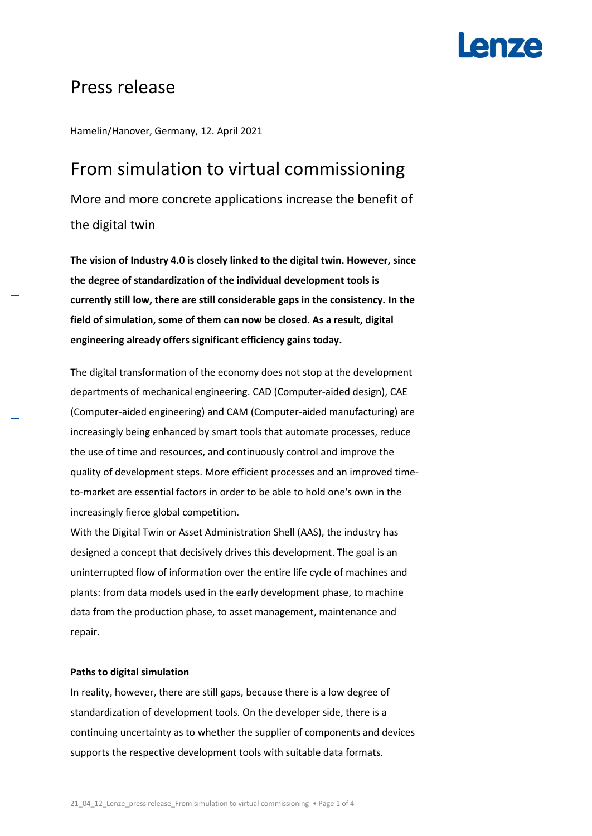

### Press release

Hamelin/Hanover, Germany, 12. April 2021

## From simulation to virtual commissioning More and more concrete applications increase the benefit of the digital twin

**The vision of Industry 4.0 is closely linked to the digital twin. However, since the degree of standardization of the individual development tools is currently still low, there are still considerable gaps in the consistency. In the field of simulation, some of them can now be closed. As a result, digital engineering already offers significant efficiency gains today.**

The digital transformation of the economy does not stop at the development departments of mechanical engineering. CAD (Computer-aided design), CAE (Computer-aided engineering) and CAM (Computer-aided manufacturing) are increasingly being enhanced by smart tools that automate processes, reduce the use of time and resources, and continuously control and improve the quality of development steps. More efficient processes and an improved timeto-market are essential factors in order to be able to hold one's own in the increasingly fierce global competition.

With the Digital Twin or Asset Administration Shell (AAS), the industry has designed a concept that decisively drives this development. The goal is an uninterrupted flow of information over the entire life cycle of machines and plants: from data models used in the early development phase, to machine data from the production phase, to asset management, maintenance and repair.

### **Paths to digital simulation**

In reality, however, there are still gaps, because there is a low degree of standardization of development tools. On the developer side, there is a continuing uncertainty as to whether the supplier of components and devices supports the respective development tools with suitable data formats.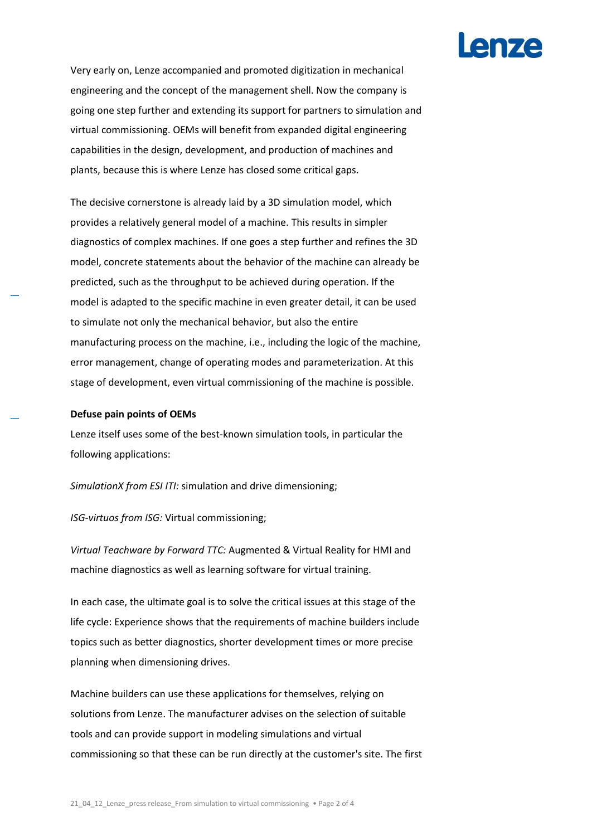

Very early on, Lenze accompanied and promoted digitization in mechanical engineering and the concept of the management shell. Now the company is going one step further and extending its support for partners to simulation and virtual commissioning. OEMs will benefit from expanded digital engineering capabilities in the design, development, and production of machines and plants, because this is where Lenze has closed some critical gaps.

The decisive cornerstone is already laid by a 3D simulation model, which provides a relatively general model of a machine. This results in simpler diagnostics of complex machines. If one goes a step further and refines the 3D model, concrete statements about the behavior of the machine can already be predicted, such as the throughput to be achieved during operation. If the model is adapted to the specific machine in even greater detail, it can be used to simulate not only the mechanical behavior, but also the entire manufacturing process on the machine, i.e., including the logic of the machine, error management, change of operating modes and parameterization. At this stage of development, even virtual commissioning of the machine is possible.

### **Defuse pain points of OEMs**

Lenze itself uses some of the best-known simulation tools, in particular the following applications:

*SimulationX from ESI ITI:* simulation and drive dimensioning;

*ISG-virtuos from ISG:* Virtual commissioning;

*Virtual Teachware by Forward TTC:* Augmented & Virtual Reality for HMI and machine diagnostics as well as learning software for virtual training.

In each case, the ultimate goal is to solve the critical issues at this stage of the life cycle: Experience shows that the requirements of machine builders include topics such as better diagnostics, shorter development times or more precise planning when dimensioning drives.

Machine builders can use these applications for themselves, relying on solutions from Lenze. The manufacturer advises on the selection of suitable tools and can provide support in modeling simulations and virtual commissioning so that these can be run directly at the customer's site. The first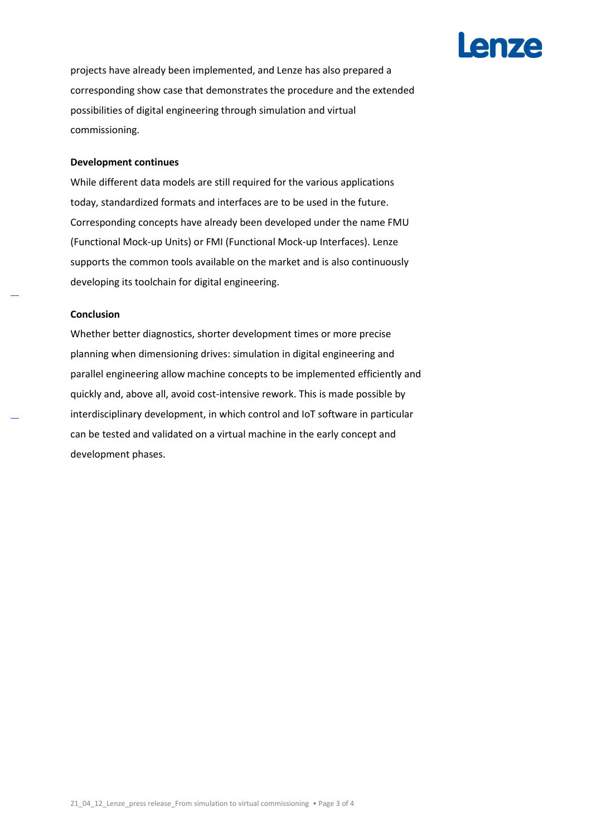# **I enze**

projects have already been implemented, and Lenze has also prepared a corresponding show case that demonstrates the procedure and the extended possibilities of digital engineering through simulation and virtual commissioning.

### **Development continues**

While different data models are still required for the various applications today, standardized formats and interfaces are to be used in the future. Corresponding concepts have already been developed under the name FMU (Functional Mock-up Units) or FMI (Functional Mock-up Interfaces). Lenze supports the common tools available on the market and is also continuously developing its toolchain for digital engineering.

### **Conclusion**

Whether better diagnostics, shorter development times or more precise planning when dimensioning drives: simulation in digital engineering and parallel engineering allow machine concepts to be implemented efficiently and quickly and, above all, avoid cost-intensive rework. This is made possible by interdisciplinary development, in which control and IoT software in particular can be tested and validated on a virtual machine in the early concept and development phases.